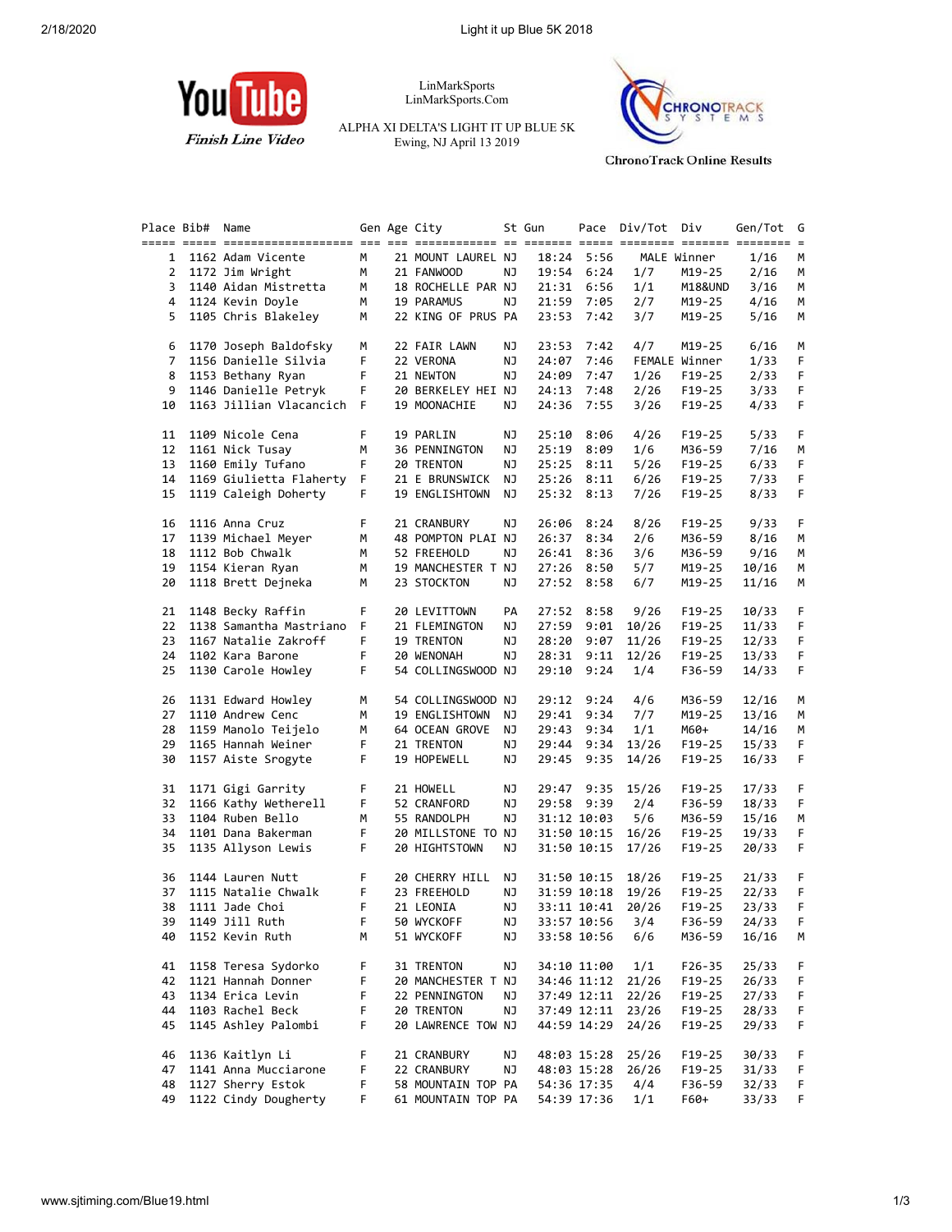

LinMarkSports LinMarkSports.Com

ALPHA XI DELTA'S LIGHT IT UP BLUE 5K Ewing, NJ April 13 2019



**ChronoTrack Online Results** 

|          | Place Bib# | Name                                      |        | Gen Age City                      |    | St Gun |                            | Pace Div/Tot Div  |                  | Gen/Tot        |
|----------|------------|-------------------------------------------|--------|-----------------------------------|----|--------|----------------------------|-------------------|------------------|----------------|
|          |            |                                           | М      | 21 MOUNT LAUREL NJ                |    |        | 18:24 5:56                 |                   | MALE Winner      | 1/16           |
|          |            | 1 1162 Adam Vicente                       |        |                                   |    |        |                            |                   |                  |                |
|          |            | 2 1172 Jim Wright                         | м      | 21 FANWOOD                        | ΝJ |        | 19:54 6:24                 | 1/7               | M19-25           | 2/16           |
|          |            | 3 1140 Aidan Mistretta                    | M      | 18 ROCHELLE PAR NJ                |    |        | 21:31 6:56                 | 1/1               | M18&UND          | 3/16           |
|          |            | 4 1124 Kevin Doyle                        | М      | 19 PARAMUS                        | NJ |        | 21:59 7:05                 | 2/7               | M19-25           | 4/16           |
| 5        |            | 1105 Chris Blakeley                       | М      | 22 KING OF PRUS PA                |    |        | 23:53 7:42                 | 3/7               | M19-25           | 5/16           |
| 6        |            | 1170 Joseph Baldofsky                     | М      | 22 FAIR LAWN                      | ΝJ |        | 23:53 7:42                 | 4/7               | M19-25           | 6/16           |
| 7        |            | 1156 Danielle Silvia                      | F      | 22 VERONA                         | ΝJ | 24:07  | 7:46                       |                   | FEMALE Winner    | 1/33           |
| 8        |            | 1153 Bethany Ryan                         | F      | 21 NEWTON                         | ΝJ | 24:09  | 7:47                       | 1/26              | $F19-25$         | 2/33           |
|          |            | 9 1146 Danielle Petryk                    | F      | 20 BERKELEY HEI NJ                |    |        | 24:13 7:48                 | 2/26              | $F19-25$         | 3/33           |
| 10       |            | 1163 Jillian Vlacancich F                 |        | 19 MOONACHIE                      | ΝJ |        | 24:36 7:55                 | 3/26              | F19-25           | 4/33           |
| 11       |            | 1109 Nicole Cena                          | F.     | 19 PARLIN                         | ΝJ | 25:10  | 8:06                       | 4/26              | $F19-25$         | 5/33           |
|          |            | 12 1161 Nick Tusay                        | м      | 36 PENNINGTON                     | ΝJ | 25:19  | 8:09                       | 1/6               | M36-59           | 7/16           |
|          |            | 13 1160 Emily Tufano                      | F.     | 20 TRENTON                        | ΝJ |        | 25:25 8:11                 | 5/26              | $F19-25$         | 6/33           |
|          |            |                                           |        |                                   |    |        |                            |                   |                  |                |
|          |            | 14 1169 Giulietta Flaherty                | F.     | 21 E BRUNSWICK NJ                 |    |        | 25:26 8:11                 | 6/26              | $F19-25$         | 7/33           |
| 15       |            | 1119 Caleigh Doherty                      | F.     | 19 ENGLISHTOWN NJ                 |    |        | 25:32 8:13                 | 7/26              | F19-25           | 8/33           |
| 16       |            | 1116 Anna Cruz                            | F      | 21 CRANBURY                       | ΝJ | 26:06  | 8:24                       | 8/26              | F19-25           | 9/33           |
|          |            | 17 1139 Michael Meyer                     | М      | 48 POMPTON PLAI NJ                |    |        | 26:37 8:34                 | 2/6               | M36-59           | 8/16           |
| 18       |            | 1112 Bob Chwalk                           | M      | 52 FREEHOLD                       | ΝJ |        | 26:41 8:36                 | 3/6               | M36-59           | 9/16           |
|          |            | 19 1154 Kieran Ryan                       | М      | 19 MANCHESTER T NJ                |    |        | 27:26 8:50                 | 5/7               | M19-25           | 10/16          |
|          |            | 20 1118 Brett Dejneka                     | м      | 23 STOCKTON                       | ΝJ |        | 27:52 8:58                 | 6/7               | M19-25           | 11/16          |
|          |            | 21 1148 Becky Raffin                      | F.     | 20 LEVITTOWN                      | PA |        | 27:52 8:58                 | 9/26              | $F19-25$         | 10/33          |
| 22       |            | 1138 Samantha Mastriano                   | F.     | 21 FLEMINGTON                     | ΝJ | 27:59  | 9:01                       | 10/26             | F19-25           | 11/33          |
|          |            | 23 1167 Natalie Zakroff                   | F      | 19 TRENTON                        | ΝJ |        | 28:20 9:07                 | 11/26             | $F19-25$         | 12/33          |
|          |            | 24 1102 Kara Barone                       | F      |                                   |    |        |                            |                   |                  |                |
|          |            |                                           |        | 20 WENONAH                        | ΝJ |        | 28:31 9:11                 | 12/26             | $F19-25$         | 13/33          |
| 25       |            | 1130 Carole Howley                        | F.     | 54 COLLINGSWOOD NJ                |    |        | 29:10 9:24                 | 1/4               | F36-59           | 14/33          |
| 26       |            | 1131 Edward Howley                        | М      | 54 COLLINGSWOOD NJ                |    |        | 29:12 9:24                 | 4/6               | M36-59           | 12/16          |
|          |            | 27 1110 Andrew Cenc                       | М      | 19 ENGLISHTOWN NJ                 |    |        | 29:41 9:34                 | 7/7               | M19-25           | 13/16          |
| 28       |            | 1159 Manolo Teijelo                       | М      | 64 OCEAN GROVE                    | NJ |        | 29:43 9:34                 | 1/1               | M60+             | 14/16          |
| 29       |            | 1165 Hannah Weiner                        | F      | 21 TRENTON                        | ΝJ |        | 29:44 9:34                 | 13/26             | $F19-25$         | 15/33          |
| 30       |            | 1157 Aiste Srogyte                        | F.     | 19 HOPEWELL                       | ΝJ |        | 29:45 9:35                 | 14/26             | $F19-25$         | 16/33          |
| 31       |            | 1171 Gigi Garrity                         | F      | 21 HOWELL                         | ΝJ |        | 29:47 9:35                 | 15/26             | $F19-25$         | 17/33          |
|          |            | 32 1166 Kathy Wetherell                   | F      | 52 CRANFORD                       | ΝJ |        | 29:58 9:39                 | 2/4               | F36-59           | 18/33          |
|          |            | 33 1104 Ruben Bello                       | M      | 55 RANDOLPH                       | ΝJ |        | 31:12 10:03                | 5/6               | M36-59           | 15/16          |
| 34       |            | 1101 Dana Bakerman                        | F      | 20 MILLSTONE TO NJ                |    |        | 31:50 10:15                | 16/26             | $F19-25$         | 19/33          |
| 35       |            | 1135 Allyson Lewis                        | F.     | 20 HIGHTSTOWN                     | ΝJ |        | 31:50 10:15                | 17/26             | $F19-25$         | 20/33          |
| 36       |            | 1144 Lauren Nutt                          | F.     | 20 CHERRY HILL                    | ΝJ |        | 31:50 10:15                | 18/26             | F19-25           | 21/33          |
|          |            | 1115 Natalie Chwalk                       |        |                                   |    |        |                            |                   |                  |                |
| 37       |            |                                           | F      | 23 FREEHOLD                       | ΝJ |        | 31:59 10:18                | 19/26             | F19-25           | 22/33          |
| 38       |            | 1111 Jade Choi                            | F      | 21 LEONIA                         | ΝJ |        | 33:11 10:41                | 20/26             | $F19-25$         | 23/33          |
|          |            | 39 1149 Jill Ruth                         | F      | 50 WYCKOFF                        | NJ |        |                            | 33:57 10:56 3/4   | F36-59           | 24/33 F        |
| 40       |            | 1152 Kevin Ruth                           | М      | 51 WYCKOFF                        | ΝJ |        | 33:58 10:56                | 6/6               | M36-59           | 16/16          |
| 41       |            | 1158 Teresa Sydorko                       | F      | 31 TRENTON                        | ΝJ |        | 34:10 11:00                | 1/1               | $F26 - 35$       | 25/33          |
| 42       |            | 1121 Hannah Donner                        | F      | 20 MANCHESTER T NJ                |    |        |                            | 34:46 11:12 21/26 | F19-25           | 26/33          |
| 43       |            | 1134 Erica Levin                          | F      | 22 PENNINGTON                     | ΝJ |        | 37:49 12:11                | 22/26             | $F19-25$         | 27/33          |
| 44       |            | 1103 Rachel Beck                          | F      | 20 TRENTON                        | ΝJ |        | 37:49 12:11                | 23/26             | $F19-25$         | 28/33          |
| 45       |            | 1145 Ashley Palombi                       | F      | 20 LAWRENCE TOW NJ                |    |        | 44:59 14:29                | 24/26             | $F19-25$         | 29/33          |
|          |            | 1136 Kaitlyn Li                           | F      | 21 CRANBURY                       | ΝJ |        | 48:03 15:28                | 25/26             | F19-25           | 30/33          |
|          |            |                                           |        |                                   |    |        |                            |                   |                  |                |
| 46       |            |                                           |        |                                   |    |        |                            |                   |                  |                |
| 47<br>48 |            | 1141 Anna Mucciarone<br>1127 Sherry Estok | F<br>F | 22 CRANBURY<br>58 MOUNTAIN TOP PA | ΝJ |        | 48:03 15:28<br>54:36 17:35 | 26/26<br>4/4      | F19-25<br>F36-59 | 31/33<br>32/33 |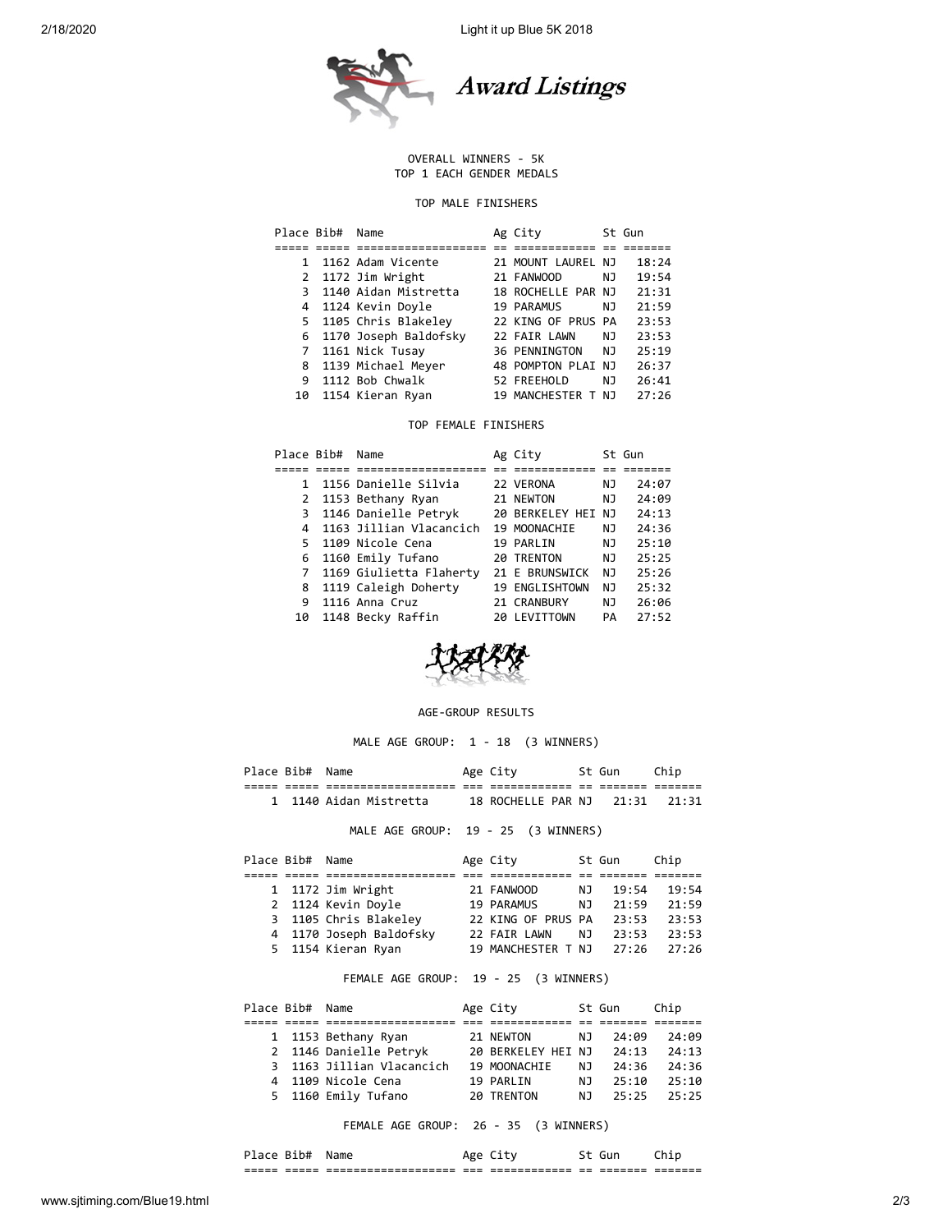2/18/2020 Light it up Blue 5K 2018



## OVERALL WINNERS - 5K TOP 1 EACH GENDER MEDALS

## TOP MALE FINISHERS

| Place Bib# | Name                    | Ag City              |     | St Gun |
|------------|-------------------------|----------------------|-----|--------|
|            |                         |                      |     |        |
| 1          | 1162 Adam Vicente       | 21 MOUNT LAUREL NJ   |     | 18:24  |
|            | 2 1172 Jim Wright       | 21 FANWOOD           | NJ. | 19:54  |
|            | 1140 Aidan Mistretta    | 18 ROCHELLE PAR NJ   |     | 21:31  |
|            | 4 1124 Kevin Doyle      | 19 PARAMUS           | NJ  | 21:59  |
|            | 5 1105 Chris Blakeley   | 22 KING OF PRUS PA   |     | 23:53  |
|            | 6 1170 Joseph Baldofsky | 22 FAIR LAWN         | NJ  | 23:53  |
| 7          | 1161 Nick Tusay         | <b>36 PENNINGTON</b> | NJ  | 25:19  |
| 8          | 1139 Michael Meyer      | 48 POMPTON PLAI NJ   |     | 26:37  |
| 9          | 1112 Bob Chwalk         | 52 FREEHOLD          | NJ  | 26:41  |
| 10         | 1154 Kieran Ryan        | 19 MANCHESTER T      | N٦  | 27:26  |

## TOP FEMALE FINISHERS

| Place Bib# | Name                    | Ag City            |     | St Gun |
|------------|-------------------------|--------------------|-----|--------|
|            |                         |                    |     |        |
| 1          | 1156 Danielle Silvia    | 22 VERONA          | ΝJ  | 24:07  |
|            | 2 1153 Bethany Ryan     | 21 NEWTON          | ΝJ  | 24:09  |
| 3          | 1146 Danielle Petryk    | 20 BERKELEY HEI NJ |     | 24:13  |
|            | 1163 Jillian Vlacancich | 19 MOONACHIE       | ΝJ  | 24:36  |
| 5.         | 1109 Nicole Cena        | 19 PARLIN          | ΝJ  | 25:10  |
| 6          | 1160 Emily Tufano       | 20 TRENTON         | NJ  | 25:25  |
| 7          | 1169 Giulietta Flaherty | 21 E BRUNSWICK     | NJ. | 25:26  |
| 8          | 1119 Caleigh Doherty    | 19 ENGLISHTOWN     | NJ. | 25:32  |
| 9          | 1116 Anna Cruz          | 21 CRANBURY        | ΝJ  | 26:06  |
| 10         | 1148 Becky Raffin       | 20 LEVITTOWN       | PA  | 27:52  |



## AGE-GROUP RESULTS

MALE AGE GROUP: 1 - 18 (3 WINNERS)

| Place Bib# Name |                                     | Age City                       | St Gun | Chip |  |
|-----------------|-------------------------------------|--------------------------------|--------|------|--|
|                 |                                     |                                |        |      |  |
|                 | 1 1140 Aidan Mistretta              | 18 ROCHELLE PAR NJ 21:31 21:31 |        |      |  |
|                 | MALE AGE GROUP: 19 - 25 (3 WINNERS) |                                |        |      |  |

| Place Bib# Name |                         | Age City           |     | St Gun | Chip  |
|-----------------|-------------------------|--------------------|-----|--------|-------|
|                 |                         |                    |     |        |       |
|                 | 1 1172 Jim Wright       | 21 FANWOOD         | NJ. | 19:54  | 19:54 |
|                 | 2 1124 Kevin Doyle      | 19 PARAMUS         | N J | 21:59  | 21:59 |
|                 | 3 1105 Chris Blakeley   | 22 KING OF PRUS PA |     | 23:53  | 23:53 |
|                 | 4 1170 Joseph Baldofsky | 22 FAIR LAWN       | NJ. | 23:53  | 23:53 |
|                 | 5 1154 Kieran Ryan      | 19 MANCHESTER T NJ |     | 27:26  | 27:26 |

FEMALE AGE GROUP: 19 - 25 (3 WINNERS)

| Place Bib# Name |                           | Age City           |     | St Gun | Chip  |
|-----------------|---------------------------|--------------------|-----|--------|-------|
|                 |                           |                    |     |        |       |
|                 | 1 1153 Bethany Ryan       | 21 NEWTON          | NJ. | 74:09  | 74:09 |
|                 | 2 1146 Danielle Petryk    | 20 BERKELEY HEI NJ |     | 24:13  | 74:13 |
|                 | 3 1163 Jillian Vlacancich | 19 MOONACHIE       | N J | 24:36  | 24:36 |
|                 | 4 1109 Nicole Cena        | 19 PARLIN          | N J | 25:10  | 25:10 |
|                 | 5 1160 Emily Tufano       | 20 TRENTON         | N J | 25:25  | 25:25 |

FEMALE AGE GROUP: 26 - 35 (3 WINNERS)

| _____<br>_____ | _____<br>_____ | --------------------<br>-------------------- | $- - -$<br>___ | ____________<br>_____________ | ___<br>-- | -------<br>------- | ___<br>---<br>------- |
|----------------|----------------|----------------------------------------------|----------------|-------------------------------|-----------|--------------------|-----------------------|
| 1.A C          | - K1 N#        | Name                                         |                |                               |           |                    |                       |